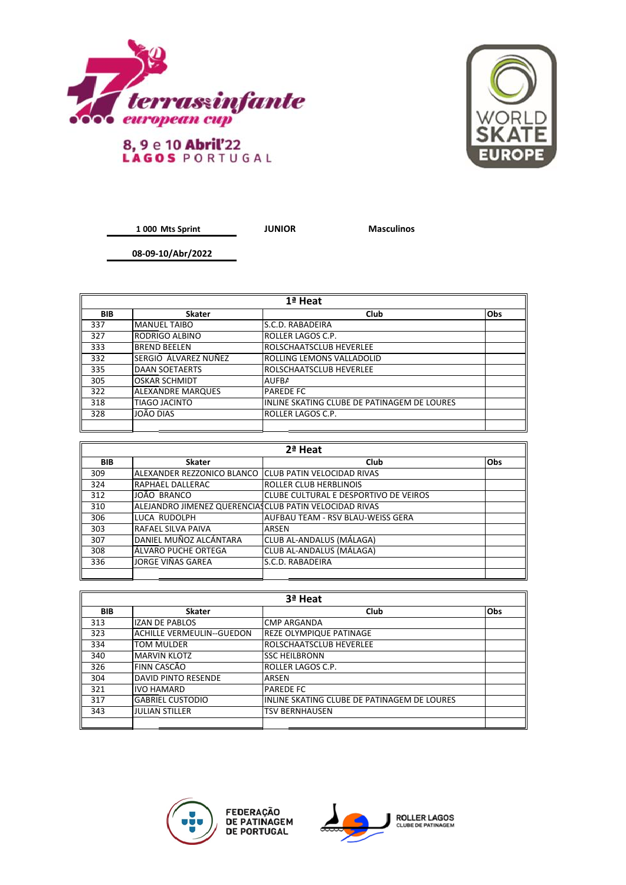



## 8, 9 e 10 Abril'22<br>LAGOS PORTUGAL

**1 000 Mts Sprint**

**JUNIOR Masculinos**

**08-09-10/Abr/2022**

| 1ª Heat    |                          |                                             |            |
|------------|--------------------------|---------------------------------------------|------------|
| <b>BIB</b> | <b>Skater</b>            | Club                                        | <b>Obs</b> |
| 337        | <b>MANUEL TAIBO</b>      | S.C.D. RABADEIRA                            |            |
| 327        | <b>RODRIGO ALBINO</b>    | ROLLER LAGOS C.P.                           |            |
| 333        | <b>BREND BEELEN</b>      | ROLSCHAATSCLUB HEVERLEE                     |            |
| 332        | SERGIO ÁLVAREZ NUÑEZ     | ROLLING LEMONS VALLADOLID                   |            |
| 335        | <b>DAAN SOETAERTS</b>    | ROLSCHAATSCLUB HEVERLEE                     |            |
| 305        | <b>OSKAR SCHMIDT</b>     | <b>AUFBA</b>                                |            |
| 322        | <b>ALEXANDRE MARQUES</b> | <b>PAREDE FC</b>                            |            |
| 318        | <b>TIAGO JACINTO</b>     | INLINE SKATING CLUBE DE PATINAGEM DE LOURES |            |
| 328        | JOÃO DIAS                | ROLLER LAGOS C.P.                           |            |
|            |                          |                                             |            |

| 2ª Heat |                                                        |                                       |            |
|---------|--------------------------------------------------------|---------------------------------------|------------|
| BIB     | <b>Skater</b>                                          | Club                                  | <b>Obs</b> |
| 309     | ALEXANDER REZZONICO BLANCO                             | <b>ICLUB PATIN VELOCIDAD RIVAS</b>    |            |
| 324     | RAPHAEL DALLERAC                                       | ROLLER CLUB HERBLINOIS                |            |
| 312     | JOÃO BRANCO                                            | CLUBE CULTURAL E DESPORTIVO DE VEIROS |            |
| 310     | ALEJANDRO JIMENEZ QUERENCIASCLUB PATIN VELOCIDAD RIVAS |                                       |            |
| 306     | LUCA RUDOLPH                                           | AUFBAU TEAM - RSV BLAU-WEISS GERA     |            |
| 303     | <b>RAFAEL SILVA PAIVA</b>                              | ARSEN                                 |            |
| 307     | ldaniel muñoz alcántara                                | CLUB AL-ANDALUS (MÁLAGA)              |            |
| 308     | lÁLVARO PUCHE ORTEGA                                   | CLUB AL-ANDALUS (MÁLAGA)              |            |
| 336     | JORGE VIÑAS GAREA                                      | S.C.D. RABADEIRA                      |            |
|         |                                                        |                                       |            |

| 3ª Heat    |                            |                                             |            |
|------------|----------------------------|---------------------------------------------|------------|
| <b>BIB</b> | <b>Skater</b>              | Club                                        | <b>Obs</b> |
| 313        | <b>IZAN DE PABLOS</b>      | <b>CMP ARGANDA</b>                          |            |
| 323        | lachille vermeulin--Guedon | REZE OLYMPIQUE PATINAGE                     |            |
| 334        | <b>TOM MULDER</b>          | <b>ROLSCHAATSCLUB HEVERLEE</b>              |            |
| 340        | <b>MARVIN KLOTZ</b>        | <b>SSC HEILBRONN</b>                        |            |
| 326        | FINN CASCÃO                | ROLLER LAGOS C.P.                           |            |
| 304        | <b>DAVID PINTO RESENDE</b> | <b>ARSEN</b>                                |            |
| 321        | <b>IVO HAMARD</b>          | <b>PAREDE FC</b>                            |            |
| 317        | <b>GABRIEL CUSTODIO</b>    | INLINE SKATING CLUBE DE PATINAGEM DE LOURES |            |
| 343        | <b>JULIAN STILLER</b>      | <b>TSV BERNHAUSEN</b>                       |            |
|            |                            |                                             |            |



FEDERAÇÃO<br>DE PATINAGEM<br>DE PORTUGAL